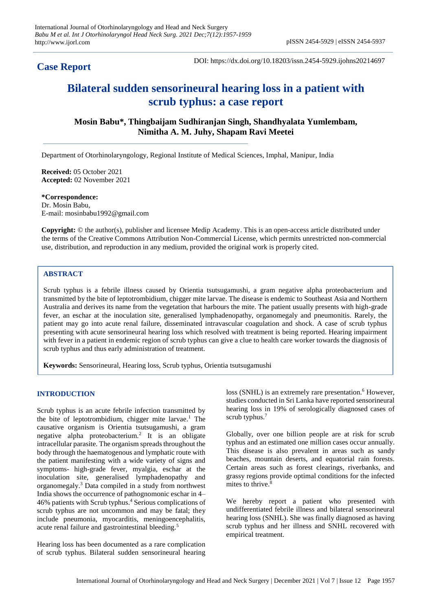# **Case Report**

DOI: https://dx.doi.org/10.18203/issn.2454-5929.ijohns20214697

# **Bilateral sudden sensorineural hearing loss in a patient with scrub typhus: a case report**

**Mosin Babu\*, Thingbaijam Sudhiranjan Singh, Shandhyalata Yumlembam, Nimitha A. M. Juhy, Shapam Ravi Meetei**

Department of Otorhinolaryngology, Regional Institute of Medical Sciences, Imphal, Manipur, India

**Received:** 05 October 2021 **Accepted:** 02 November 2021

**\*Correspondence:** Dr. Mosin Babu, E-mail: mosinbabu1992@gmail.com

**Copyright:** © the author(s), publisher and licensee Medip Academy. This is an open-access article distributed under the terms of the Creative Commons Attribution Non-Commercial License, which permits unrestricted non-commercial use, distribution, and reproduction in any medium, provided the original work is properly cited.

## **ABSTRACT**

Scrub typhus is a febrile illness caused by Orientia tsutsugamushi, a gram negative alpha proteobacterium and transmitted by the bite of leptotrombidium, chigger mite larvae. The disease is endemic to Southeast Asia and Northern Australia and derives its name from the vegetation that harbours the mite. The patient usually presents with high-grade fever, an eschar at the inoculation site, generalised lymphadenopathy, organomegaly and pneumonitis. Rarely, the patient may go into acute renal failure, disseminated intravascular coagulation and shock. A case of scrub typhus presenting with acute sensorineural hearing loss which resolved with treatment is being reported. Hearing impairment with fever in a patient in endemic region of scrub typhus can give a clue to health care worker towards the diagnosis of scrub typhus and thus early administration of treatment.

**Keywords:** Sensorineural, Hearing loss, Scrub typhus, Orientia tsutsugamushi

# **INTRODUCTION**

Scrub typhus is an acute febrile infection transmitted by the bite of leptotrombidium, chigger mite larvae.<sup>1</sup> The causative organism is Orientia tsutsugamushi, a gram negative alpha proteobacterium.<sup>2</sup> It is an obligate intracellular parasite. The organism spreads throughout the body through the haematogenous and lymphatic route with the patient manifesting with a wide variety of signs and symptoms- high-grade fever, myalgia, eschar at the inoculation site, generalised lymphadenopathy and organomegaly.<sup>3</sup> Data compiled in a study from northwest India shows the occurrence of pathognomonic eschar in 4– 46% patients with Scrub typhus.<sup>4</sup> Serious complications of scrub typhus are not uncommon and may be fatal; they include pneumonia, myocarditis, meningoencephalitis, acute renal failure and gastrointestinal bleeding. 5

Hearing loss has been documented as a rare complication of scrub typhus. Bilateral sudden sensorineural hearing

loss (SNHL) is an extremely rare presentation.<sup>6</sup> However, studies conducted in Sri Lanka have reported sensorineural hearing loss in 19% of serologically diagnosed cases of scrub typhus.<sup>7</sup>

Globally, over one billion people are at risk for scrub typhus and an estimated one million cases occur annually. This disease is also prevalent in areas such as sandy beaches, mountain deserts, and equatorial rain forests. Certain areas such as forest clearings, riverbanks, and grassy regions provide optimal conditions for the infected mites to thrive. 8

We hereby report a patient who presented with undifferentiated febrile illness and bilateral sensorineural hearing loss (SNHL). She was finally diagnosed as having scrub typhus and her illness and SNHL recovered with empirical treatment.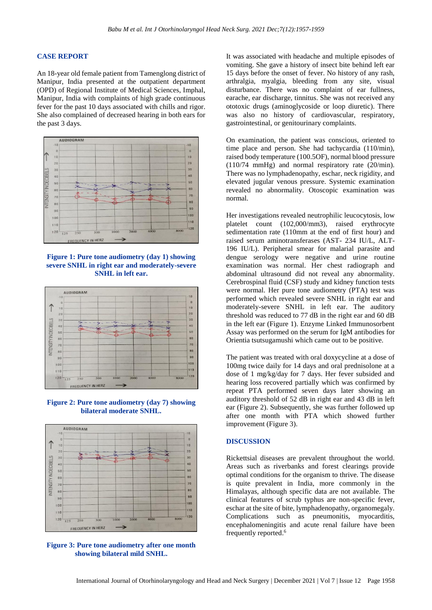#### **CASE REPORT**

An 18-year old female patient from Tamenglong district of Manipur, India presented at the outpatient department (OPD) of Regional Institute of Medical Sciences, Imphal, Manipur, India with complaints of high grade continuous fever for the past 10 days associated with chills and rigor. She also complained of decreased hearing in both ears for the past 3 days.



**Figure 1: Pure tone audiometry (day 1) showing severe SNHL in right ear and moderately-severe SNHL in left ear.**



**Figure 2: Pure tone audiometry (day 7) showing bilateral moderate SNHL.**



**Figure 3: Pure tone audiometry after one month showing bilateral mild SNHL.**

It was associated with headache and multiple episodes of vomiting. She gave a history of insect bite behind left ear 15 days before the onset of fever. No history of any rash, arthralgia, myalgia, bleeding from any site, visual disturbance. There was no complaint of ear fullness, earache, ear discharge, tinnitus. She was not received any ototoxic drugs (aminoglycoside or loop diuretic). There was also no history of cardiovascular, respiratory, gastrointestinal, or genitourinary complaints.

On examination, the patient was conscious, oriented to time place and person. She had tachycardia (110/min), raised body temperature (100.5OF), normal blood pressure (110/74 mmHg) and normal respiratory rate (20/min). There was no lymphadenopathy, eschar, neck rigidity, and elevated jugular venous pressure. Systemic examination revealed no abnormality. Otoscopic examination was normal.

Her investigations revealed neutrophilic leucocytosis, low platelet count (102,000/mm3), raised erythrocyte sedimentation rate (110mm at the end of first hour) and raised serum aminotransferases (AST- 234 IU/L, ALT-196 IU/L). Peripheral smear for malarial parasite and dengue serology were negative and urine routine examination was normal. Her chest radiograph and abdominal ultrasound did not reveal any abnormality. Cerebrospinal fluid (CSF) study and kidney function tests were normal. Her pure tone audiometry (PTA) test was performed which revealed severe SNHL in right ear and moderately-severe SNHL in left ear. The auditory threshold was reduced to 77 dB in the right ear and 60 dB in the left ear (Figure 1). Enzyme Linked Immunosorbent Assay was performed on the serum for IgM antibodies for Orientia tsutsugamushi which came out to be positive.

The patient was treated with oral doxycycline at a dose of 100mg twice daily for 14 days and oral prednisolone at a dose of 1 mg/kg/day for 7 days. Her fever subsided and hearing loss recovered partially which was confirmed by repeat PTA performed seven days later showing an auditory threshold of 52 dB in right ear and 43 dB in left ear (Figure 2). Subsequently, she was further followed up after one month with PTA which showed further improvement (Figure 3).

#### **DISCUSSION**

Rickettsial diseases are prevalent throughout the world. Areas such as riverbanks and forest clearings provide optimal conditions for the organism to thrive. The disease is quite prevalent in India, more commonly in the Himalayas, although specific data are not available. The clinical features of scrub typhus are non-specific fever, eschar at the site of bite, lymphadenopathy, organomegaly. Complications such as pneumonitis, myocarditis, encephalomeningitis and acute renal failure have been frequently reported. 6